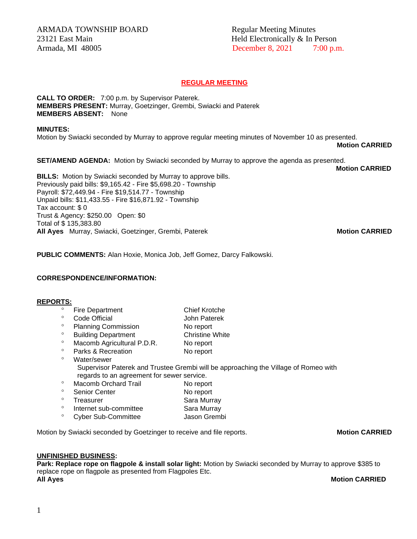# Armada, MI 48005 **December 8, 2021** 7:00 p.m.

# **REGULAR MEETING**

**CALL TO ORDER:** 7:00 p.m. by Supervisor Paterek. **MEMBERS PRESENT:** Murray, Goetzinger, Grembi, Swiacki and Paterek **MEMBERS ABSENT:** None

## **MINUTES:**

Motion by Swiacki seconded by Murray to approve regular meeting minutes of November 10 as presented.

**Motion CARRIED** 

**Motion CARRIED**

**SET/AMEND AGENDA:** Motion by Swiacki seconded by Murray to approve the agenda as presented.

**BILLS:** Motion by Swiacki seconded by Murray to approve bills. Previously paid bills: \$9,165.42 - Fire \$5,698.20 - Township Payroll: \$72,449.94 - Fire \$19,514.77 - Township Unpaid bills: \$11,433.55 - Fire \$16,871.92 - Township Tax account: \$ 0 Trust & Agency: \$250.00 Open: \$0 Total of \$ 135,383.80 **All Ayes** Murray, Swiacki, Goetzinger, Grembi, Paterek **Motion CARRIED**

**PUBLIC COMMENTS:** Alan Hoxie, Monica Job, Jeff Gomez, Darcy Falkowski.

# **CORRESPONDENCE/INFORMATION:**

# **REPORTS:**

- Fire Department Chief Krotche<br>
Code Official General Reserves Code Official **Code Official** John Paterek <sup>o</sup> Planning Commission No report <sup>o</sup> Building Department Christine White <sup>o</sup> Macomb Agricultural P.D.R. No report ° Parks & Recreation No report Water/sewer Supervisor Paterek and Trustee Grembi will be approaching the Village of Romeo with regards to an agreement for sewer service. <sup>o</sup> Macomb Orchard Trail No report <sup>o</sup> Senior Center No report <sup>o</sup> Treasurer Sara Murray <sup>o</sup> Internet sub-committee Sara Murray
- <sup>o</sup> Cyber Sub-Committee **Jason Grembi**
- 

# Motion by Swiacki seconded by Goetzinger to receive and file reports. **Motion CARRIED**

## **UNFINISHED BUSINESS:**

**Park: Replace rope on flagpole & install solar light:** Motion by Swiacki seconded by Murray to approve \$385 to replace rope on flagpole as presented from Flagpoles Etc. **All Ayes** Motion CARRIED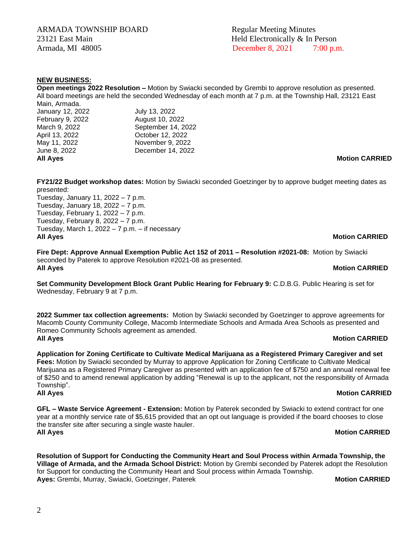ARMADA TOWNSHIP BOARD Regular Meeting Minutes 23121 East Main **Held Electronically & In Person** Armada, MI 48005 **December 8, 2021** 7:00 p.m.

# **NEW BUSINESS:**

**Open meetings 2022 Resolution –** Motion by Swiacki seconded by Grembi to approve resolution as presented. All board meetings are held the seconded Wednesday of each month at 7 p.m. at the Township Hall, 23121 East Main, Armada. January 12, 2022 July 13, 2022

| February 9, 2022 | August 10, 2022    |                       |
|------------------|--------------------|-----------------------|
| March 9, 2022    | September 14, 2022 |                       |
| April 13, 2022   | October 12, 2022   |                       |
| May 11, 2022     | November 9, 2022   |                       |
| June 8, 2022     | December 14, 2022  |                       |
| <b>All Ayes</b>  |                    | <b>Motion CARRIED</b> |
|                  |                    |                       |
|                  |                    |                       |

**FY21/22 Budget workshop dates:** Motion by Swiacki seconded Goetzinger by to approve budget meeting dates as presented:

Tuesday, January 11, 2022 – 7 p.m. Tuesday, January 18, 2022 – 7 p.m. Tuesday, February 1, 2022 – 7 p.m. Tuesday, February 8, 2022 – 7 p.m. Tuesday, March 1, 2022 – 7 p.m. – if necessary **All Ayes Motion CARRIED**

**Fire Dept: Approve Annual Exemption Public Act 152 of 2011 – Resolution #2021-08:** Motion by Swiacki seconded by Paterek to approve Resolution #2021-08 as presented. **All Ayes Motion CARRIED**

**Set Community Development Block Grant Public Hearing for February 9:** C.D.B.G. Public Hearing is set for Wednesday, February 9 at 7 p.m.

**2022 Summer tax collection agreements:** Motion by Swiacki seconded by Goetzinger to approve agreements for Macomb County Community College, Macomb Intermediate Schools and Armada Area Schools as presented and Romeo Community Schools agreement as amended. **All Ayes Motion CARRIED** 

**Application for Zoning Certificate to Cultivate Medical Marijuana as a Registered Primary Caregiver and set Fees:** Motion by Swiacki seconded by Murray to approve Application for Zoning Certificate to Cultivate Medical Marijuana as a Registered Primary Caregiver as presented with an application fee of \$750 and an annual renewal fee of \$250 and to amend renewal application by adding "Renewal is up to the applicant, not the responsibility of Armada Township". **All Ayes** Motion CARRIED

**GFL – Waste Service Agreement - Extension:** Motion by Paterek seconded by Swiacki to extend contract for one year at a monthly service rate of \$5,615 provided that an opt out language is provided if the board chooses to close the transfer site after securing a single waste hauler. **All Ayes Motion CARRIED** 

**Resolution of Support for Conducting the Community Heart and Soul Process within Armada Township, the Village of Armada, and the Armada School District:** Motion by Grembi seconded by Paterek adopt the Resolution for Support for conducting the Community Heart and Soul process within Armada Township. **Ayes:** Grembi, Murray, Swiacki, Goetzinger, Paterek **Motion CARRIED Motion CARRIED**